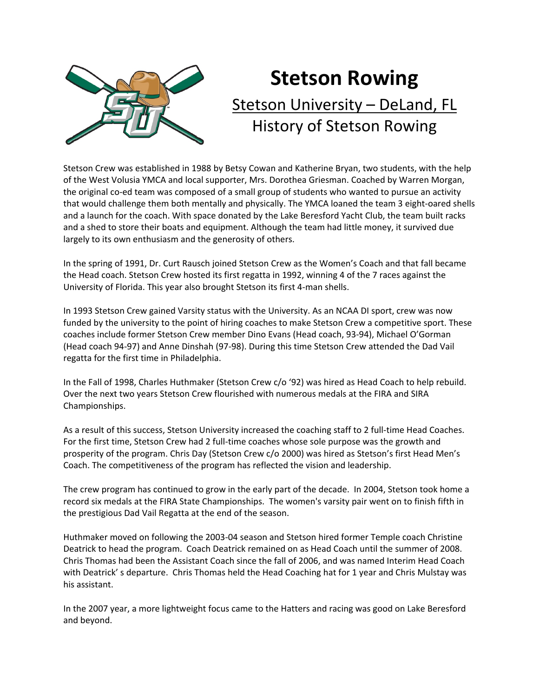

## **Stetson Rowing** Stetson University – DeLand, FL History of Stetson Rowing

Stetson Crew was established in 1988 by Betsy Cowan and Katherine Bryan, two students, with the help of the West Volusia YMCA and local supporter, Mrs. Dorothea Griesman. Coached by Warren Morgan, the original co‐ed team was composed of a small group of students who wanted to pursue an activity that would challenge them both mentally and physically. The YMCA loaned the team 3 eight‐oared shells and a launch for the coach. With space donated by the Lake Beresford Yacht Club, the team built racks and a shed to store their boats and equipment. Although the team had little money, it survived due largely to its own enthusiasm and the generosity of others.

In the spring of 1991, Dr. Curt Rausch joined Stetson Crew as the Women's Coach and that fall became the Head coach. Stetson Crew hosted its first regatta in 1992, winning 4 of the 7 races against the University of Florida. This year also brought Stetson its first 4‐man shells.

In 1993 Stetson Crew gained Varsity status with the University. As an NCAA DI sport, crew was now funded by the university to the point of hiring coaches to make Stetson Crew a competitive sport. These coaches include former Stetson Crew member Dino Evans (Head coach, 93‐94), Michael O'Gorman (Head coach 94‐97) and Anne Dinshah (97‐98). During this time Stetson Crew attended the Dad Vail regatta for the first time in Philadelphia.

In the Fall of 1998, Charles Huthmaker (Stetson Crew c/o '92) was hired as Head Coach to help rebuild. Over the next two years Stetson Crew flourished with numerous medals at the FIRA and SIRA Championships.

As a result of this success, Stetson University increased the coaching staff to 2 full-time Head Coaches. For the first time, Stetson Crew had 2 full-time coaches whose sole purpose was the growth and prosperity of the program. Chris Day (Stetson Crew c/o 2000) was hired as Stetson's first Head Men's Coach. The competitiveness of the program has reflected the vision and leadership.

The crew program has continued to grow in the early part of the decade. In 2004, Stetson took home a record six medals at the FIRA State Championships. The women's varsity pair went on to finish fifth in the prestigious Dad Vail Regatta at the end of the season.

Huthmaker moved on following the 2003‐04 season and Stetson hired former Temple coach Christine Deatrick to head the program. Coach Deatrick remained on as Head Coach until the summer of 2008. Chris Thomas had been the Assistant Coach since the fall of 2006, and was named Interim Head Coach with Deatrick' s departure. Chris Thomas held the Head Coaching hat for 1 year and Chris Mulstay was his assistant.

In the 2007 year, a more lightweight focus came to the Hatters and racing was good on Lake Beresford and beyond.